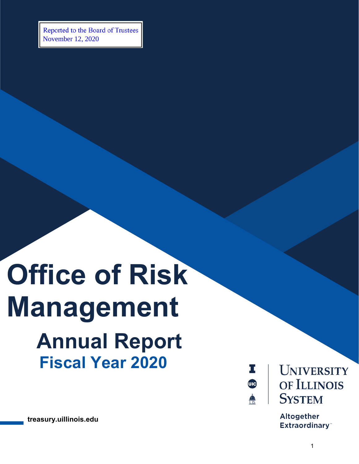Reported to the Board of Trustees November 12, 2020

## **Office of Risk Management Annual Report Fiscal Year 2020**

**treasury.uillinois.edu**



**UNIVERSITY** OF ILLINOIS **SYSTEM** 

**Altogether Extraordinary**<sup>\*\*</sup>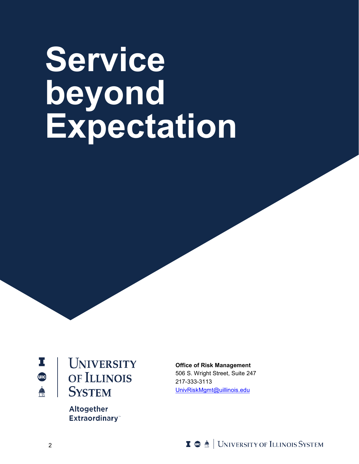# **Service beyond Expectation**



**UNIVERSITY** OF ILLINOIS **SYSTEM** 

> **Altogether Extraordinary**<sup>\*\*</sup>

**Office of Risk Management** 506 S. Wright Street, Suite 247 217-333-3113 [UnivRiskMgmt@uillinois.edu](mailto:UnivRiskMgmt@uillinois.edu)

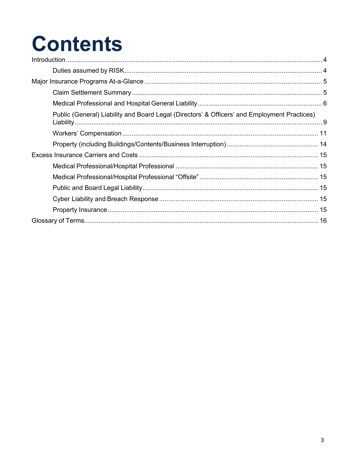## **Contents**

| Public (General) Liability and Board Legal (Directors' & Officers' and Employment Practices) |  |
|----------------------------------------------------------------------------------------------|--|
|                                                                                              |  |
|                                                                                              |  |
|                                                                                              |  |
|                                                                                              |  |
|                                                                                              |  |
|                                                                                              |  |
|                                                                                              |  |
|                                                                                              |  |
|                                                                                              |  |
|                                                                                              |  |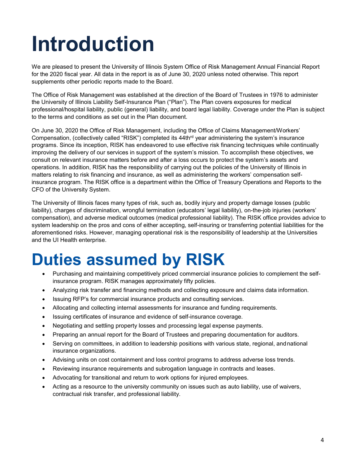## <span id="page-3-0"></span>**Introduction**

We are pleased to present the University of Illinois System Office of Risk Management Annual Financial Report for the 2020 fiscal year. All data in the report is as of June 30, 2020 unless noted otherwise. This report supplements other periodic reports made to the Board.

The Office of Risk Management was established at the direction of the Board of Trustees in 1976 to administer the University of Illinois Liability Self-Insurance Plan ("Plan"). The Plan covers exposures for medical professional/hospital liability, public (general) liability, and board legal liability. Coverage under the Plan is subject to the terms and conditions as set out in the Plan document.

On June 30, 2020 the Office of Risk Management, including the Office of Claims Management/Workers' Compensation, (collectively called "RISK") completed its 44thrd year administering the system's insurance programs. Since its inception, RISK has endeavored to use effective risk financing techniques while continually improving the delivery of our services in support of the system's mission. To accomplish these objectives, we consult on relevant insurance matters before and after a loss occurs to protect the system's assets and operations. In addition, RISK has the responsibility of carrying out the policies of the University of Illinois in matters relating to risk financing and insurance, as well as administering the workers' compensation selfinsurance program. The RISK office is a department within the Office of Treasury Operations and Reports to the CFO of the University System.

The University of Illinois faces many types of risk, such as, bodily injury and property damage losses (public liability), charges of discrimination, wrongful termination (educators' legal liability), on-the-job injuries (workers' compensation), and adverse medical outcomes (medical professional liability). The RISK office provides advice to system leadership on the pros and cons of either accepting, self-insuring or transferring potential liabilities for the aforementioned risks. However, managing operational risk is the responsibility of leadership at the Universities and the UI Health enterprise.

### <span id="page-3-1"></span>**Duties assumed by RISK**

- Purchasing and maintaining competitively priced commercial insurance policies to complement the selfinsurance program. RISK manages approximately fifty policies.
- Analyzing risk transfer and financing methods and collecting exposure and claims data information.
- Issuing RFP's for commercial insurance products and consulting services.
- Allocating and collecting internal assessments for insurance and funding requirements.
- Issuing certificates of insurance and evidence of self-insurance coverage.
- Negotiating and settling property losses and processing legal expense payments.
- Preparing an annual report for the Board of Trustees and preparing documentation for auditors.
- Serving on committees, in addition to leadership positions with various state, regional, andnational insurance organizations.
- Advising units on cost containment and loss control programs to address adverse loss trends.
- Reviewing insurance requirements and subrogation language in contracts and leases.
- Advocating for transitional and return to work options for injured employees.
- Acting as a resource to the university community on issues such as auto liability, use of waivers, contractual risk transfer, and professional liability.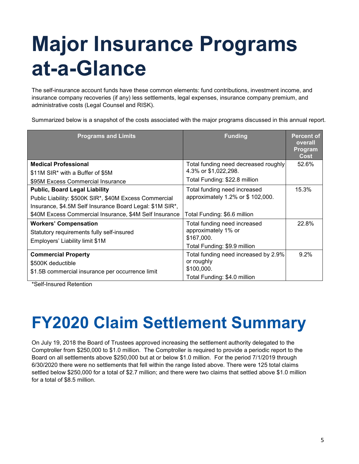## <span id="page-4-0"></span>**Major Insurance Programs at-a-Glance**

The self-insurance account funds have these common elements: fund contributions, investment income, and insurance company recoveries (if any) less settlements, legal expenses, insurance company premium, and administrative costs (Legal Counsel and RISK).

Summarized below is a snapshot of the costs associated with the major programs discussed in this annual report.

| <b>Programs and Limits</b>                               | <b>Funding</b>                       | <b>Percent of</b><br>overall<br>Program<br><b>Cost</b> |
|----------------------------------------------------------|--------------------------------------|--------------------------------------------------------|
| <b>Medical Professional</b>                              | Total funding need decreased roughly | 52.6%                                                  |
| \$11M SIR* with a Buffer of \$5M                         | 4.3% or \$1,022,298.                 |                                                        |
| \$95M Excess Commercial Insurance                        | Total Funding: \$22.8 million        |                                                        |
| <b>Public, Board Legal Liability</b>                     | Total funding need increased         | 15.3%                                                  |
| Public Liability: \$500K SIR*, \$40M Excess Commercial   | approximately 1.2% or \$ 102,000.    |                                                        |
| Insurance, \$4.5M Self Insurance Board Legal: \$1M SIR*, |                                      |                                                        |
| \$40M Excess Commercial Insurance, \$4M Self Insurance   | Total Funding: \$6.6 million         |                                                        |
| <b>Workers' Compensation</b>                             | Total funding need increased         | 22.8%                                                  |
| Statutory requirements fully self-insured                | approximately 1% or                  |                                                        |
| Employers' Liability limit \$1M                          | \$167,000.                           |                                                        |
|                                                          | Total Funding: \$9.9 million         |                                                        |
| <b>Commercial Property</b>                               | Total funding need increased by 2.9% | 9.2%                                                   |
| \$500K deductible                                        | or roughly                           |                                                        |
| \$1.5B commercial insurance per occurrence limit         | \$100,000.                           |                                                        |
|                                                          | Total Funding: \$4.0 million         |                                                        |

<span id="page-4-1"></span>\*Self-Insured Retention

## **FY2020 Claim Settlement Summary**

On July 19, 2018 the Board of Trustees approved increasing the settlement authority delegated to the Comptroller from \$250,000 to \$1.0 million. The Comptroller is required to provide a periodic report to the Board on all settlements above \$250,000 but at or below \$1.0 million. For the period 7/1/2019 through 6/30/2020 there were no settlements that fell within the range listed above. There were 125 total claims settled below \$250,000 for a total of \$2.7 million; and there were two claims that settled above \$1.0 million for a total of \$8.5 million.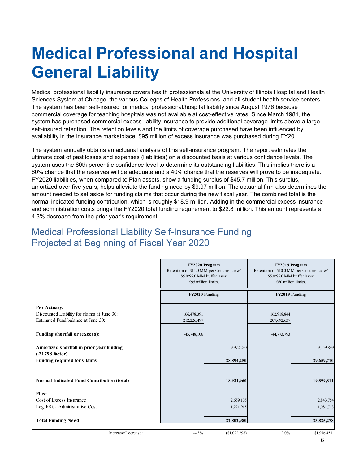### **Medical Professional and Hospital General Liability**

Medical professional liability insurance covers health professionals at the University of Illinois Hospital and Health Sciences System at Chicago, the various Colleges of Health Professions, and all student health service centers. The system has been self-insured for medical professional/hospital liability since August 1976 because commercial coverage for teaching hospitals was not available at cost-effective rates. Since March 1981, the system has purchased commercial excess liability insurance to provide additional coverage limits above a large self-insured retention. The retention levels and the limits of coverage purchased have been influenced by availability in the insurance marketplace. \$95 million of excess insurance was purchased during FY20.

The system annually obtains an actuarial analysis of this self-insurance program. The report estimates the ultimate cost of past losses and expenses (liabilities) on a discounted basis at various confidence levels. The system uses the 60th percentile confidence level to determine its outstanding liabilities. This implies there is a 60% chance that the reserves will be adequate and a 40% chance that the reserves will prove to be inadequate. FY2020 liabilities, when compared to Plan assets, show a funding surplus of \$45.7 million. This surplus, amortized over five years, helps alleviate the funding need by \$9.97 million. The actuarial firm also determines the amount needed to set aside for funding claims that occur during the new fiscal year. The combined total is the normal indicated funding contribution, which is roughly \$18.9 million. Adding in the commercial excess insurance and administration costs brings the FY2020 total funding requirement to \$22.8 million. This amount represents a 4.3% decrease from the prior year's requirement.

#### Medical Professional Liability Self-Insurance Funding Projected at Beginning of Fiscal Year 2020

|                                                                                                   | FY2020 Program<br>Retention of \$11.0 MM per Occurrence w/<br>\$5.0/\$5.0 MM buffer layer.<br>\$95 million limits. |               | FY2019 Program<br>Retention of \$10.0 MM per Occurrence w/<br>\$5.0/\$5.0 MM buffer layer.<br>\$60 million limits. |              |
|---------------------------------------------------------------------------------------------------|--------------------------------------------------------------------------------------------------------------------|---------------|--------------------------------------------------------------------------------------------------------------------|--------------|
|                                                                                                   | FY2020 Funding                                                                                                     |               | FY2019 Funding                                                                                                     |              |
| Per Actuary:<br>Discounted Liability for claims at June 30:<br>Estimated Fund balance at June 30: | 166,478,391<br>212,226,497                                                                                         |               | 162,918,844<br>207,692,637                                                                                         |              |
| Funding shortfall or (excess):                                                                    | $-45,748,106$                                                                                                      |               | -44,773,793                                                                                                        |              |
| Amortized shortfall in prior year funding<br>$(.21798$ factor)                                    |                                                                                                                    | $-9,972,290$  |                                                                                                                    | $-9,759,899$ |
| <b>Funding required for Claims</b>                                                                |                                                                                                                    | 28,894,250    |                                                                                                                    | 29,659,710   |
| Normal Indicated Fund Contribution (total)                                                        |                                                                                                                    | 18,921,960    |                                                                                                                    | 19,899,811   |
| Plus:<br>Cost of Excess Insurance                                                                 |                                                                                                                    | 2,659,105     |                                                                                                                    | 2,843,754    |
| Legal/Risk Administrative Cost                                                                    |                                                                                                                    | 1,221,915     |                                                                                                                    | 1,081,713    |
| <b>Total Funding Need:</b>                                                                        |                                                                                                                    | 22,802,980    |                                                                                                                    | 23,825,278   |
| Increase/Decrease:                                                                                | $-4.3%$                                                                                                            | (\$1,022,298) | $9.0\%$                                                                                                            | \$1,976,451  |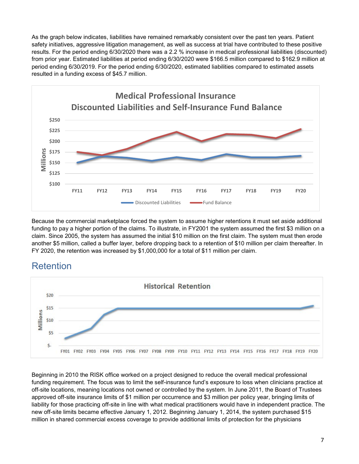As the graph below indicates, liabilities have remained remarkably consistent over the past ten years. Patient safety initiatives, aggressive litigation management, as well as success at trial have contributed to these positive results. For the period ending 6/30/2020 there was a 2.2 % increase in medical professional liabilities (discounted) from prior year. Estimated liabilities at period ending 6/30/2020 were \$166.5 million compared to \$162.9 million at period ending 6/30/2019. For the period ending 6/30/2020, estimated liabilities compared to estimated assets resulted in a funding excess of \$45.7 million.



Because the commercial marketplace forced the system to assume higher retentions it must set aside additional funding to pay a higher portion of the claims. To illustrate, in FY2001 the system assumed the first \$3 million on a claim. Since 2005, the system has assumed the initial \$10 million on the first claim. The system must then erode another \$5 million, called a buffer layer, before dropping back to a retention of \$10 million per claim thereafter. In FY 2020, the retention was increased by \$1,000,000 for a total of \$11 million per claim.



#### Retention

Beginning in 2010 the RISK office worked on a project designed to reduce the overall medical professional funding requirement. The focus was to limit the self-insurance fund's exposure to loss when clinicians practice at off-site locations, meaning locations not owned or controlled by the system. In June 2011, the Board of Trustees approved off-site insurance limits of \$1 million per occurrence and \$3 million per policy year, bringing limits of liability for those practicing off-site in line with what medical practitioners would have in independent practice. The new off-site limits became effective January 1, 2012. Beginning January 1, 2014, the system purchased \$15 million in shared commercial excess coverage to provide additional limits of protection for the physicians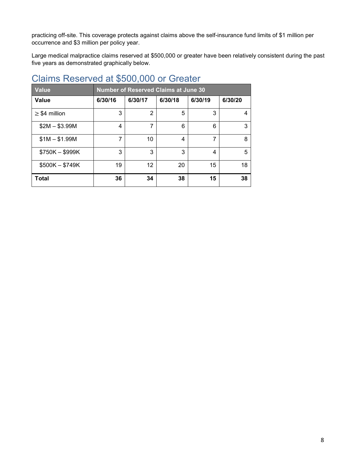<span id="page-7-0"></span>practicing off-site. This coverage protects against claims above the self-insurance fund limits of \$1 million per occurrence and \$3 million per policy year.

Large medical malpractice claims reserved at \$500,000 or greater have been relatively consistent during the past five years as demonstrated graphically below.

| <b>Value</b>       | <b>Number of Reserved Claims at June 30</b> |         |         |         |         |
|--------------------|---------------------------------------------|---------|---------|---------|---------|
| <b>Value</b>       | 6/30/16                                     | 6/30/17 | 6/30/18 | 6/30/19 | 6/30/20 |
| $\geq$ \$4 million | 3                                           | 2       | 5       | 3       | 4       |
| $$2M - $3.99M$     | 4                                           | 7       | 6       | 6       | 3       |
| $$1M - $1.99M$     | 7                                           | 10      | 4       | 7       | 8       |
| $$750K - $999K$    | 3                                           | 3       | 3       | 4       | 5       |
| $$500K - $749K$    | 19                                          | 12      | 20      | 15      | 18      |
| <b>Total</b>       | 36                                          | 34      | 38      | 15      | 38      |

#### Claims Reserved at \$500,000 or Greater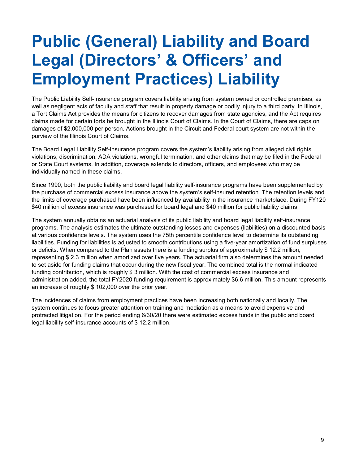### **Public (General) Liability and Board Legal (Directors' & Officers' and Employment Practices) Liability**

The Public Liability Self-Insurance program covers liability arising from system owned or controlled premises, as well as negligent acts of faculty and staff that result in property damage or bodily injury to a third party. In Illinois, a Tort Claims Act provides the means for citizens to recover damages from state agencies, and the Act requires claims made for certain torts be brought in the Illinois Court of Claims. In the Court of Claims, there are caps on damages of \$2,000,000 per person. Actions brought in the Circuit and Federal court system are not within the purview of the Illinois Court of Claims.

The Board Legal Liability Self-Insurance program covers the system's liability arising from alleged civil rights violations, discrimination, ADA violations, wrongful termination, and other claims that may be filed in the Federal or State Court systems. In addition, coverage extends to directors, officers, and employees who may be individually named in these claims.

Since 1990, both the public liability and board legal liability self-insurance programs have been supplemented by the purchase of commercial excess insurance above the system's self-insured retention. The retention levels and the limits of coverage purchased have been influenced by availability in the insurance marketplace. During FY120 \$40 million of excess insurance was purchased for board legal and \$40 million for public liability claims.

The system annually obtains an actuarial analysis of its public liability and board legal liability self-insurance programs. The analysis estimates the ultimate outstanding losses and expenses (liabilities) on a discounted basis at various confidence levels. The system uses the 75th percentile confidence level to determine its outstanding liabilities. Funding for liabilities is adjusted to smooth contributions using a five-year amortization of fund surpluses or deficits. When compared to the Plan assets there is a funding surplus of approximately \$ 12.2 million, representing \$ 2.3 million when amortized over five years. The actuarial firm also determines the amount needed to set aside for funding claims that occur during the new fiscal year. The combined total is the normal indicated funding contribution, which is roughly \$ 3 million. With the cost of commercial excess insurance and administration added, the total FY2020 funding requirement is approximately \$6.6 million. This amount represents an increase of roughly \$ 102,000 over the prior year.

The incidences of claims from employment practices have been increasing both nationally and locally. The system continues to focus greater attention on training and mediation as a means to avoid expensive and protracted litigation. For the period ending 6/30/20 there were estimated excess funds in the public and board legal liability self-insurance accounts of \$ 12.2 million.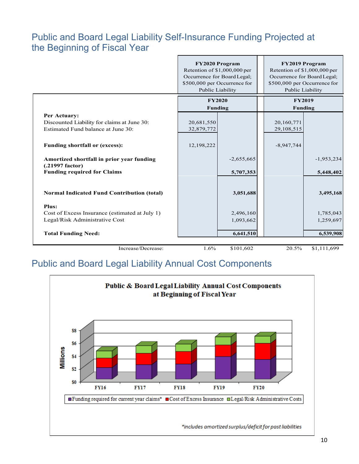#### Public and Board Legal Liability Self-Insurance Funding Projected at the Beginning of Fiscal Year

|                                                                                                    | <b>FY2020 Program</b><br>Retention of $$1,000,000$ per<br>Occurrence for Board Legal;<br>\$500,000 per Occurrence for<br>Public Liability |                                 |                          | <b>FY2019 Program</b><br>Retention of $$1,000,000$ per<br>Occurrence for Board Legal;<br>\$500,000 per Occurrence for<br>Public Liability |  |
|----------------------------------------------------------------------------------------------------|-------------------------------------------------------------------------------------------------------------------------------------------|---------------------------------|--------------------------|-------------------------------------------------------------------------------------------------------------------------------------------|--|
|                                                                                                    |                                                                                                                                           | <b>FY2020</b><br><b>Funding</b> |                          | <b>FY2019</b><br><b>Funding</b>                                                                                                           |  |
| Per Actuary:<br>Discounted Liability for claims at June 30:<br>Estimated Fund balance at June 30:  | 20,681,550<br>32,879,772                                                                                                                  |                                 | 20,160,771<br>29,108,515 |                                                                                                                                           |  |
| <b>Funding shortfall or (excess):</b>                                                              | 12,198,222                                                                                                                                |                                 | $-8,947,744$             |                                                                                                                                           |  |
| Amortized shortfall in prior year funding<br>(.21997 factor)<br><b>Funding required for Claims</b> |                                                                                                                                           | $-2,655,665$<br>5,707,353       |                          | $-1,953,234$<br>5,448,402                                                                                                                 |  |
| <b>Normal Indicated Fund Contribution (total)</b>                                                  |                                                                                                                                           | 3,051,688                       |                          | 3,495,168                                                                                                                                 |  |
| <b>Plus:</b><br>Cost of Excess Insurance (estimated at July 1)<br>Legal/Risk Administrative Cost   |                                                                                                                                           | 2,496,160<br>1,093,662          |                          | 1,785,043<br>1,259,697                                                                                                                    |  |
| <b>Total Funding Need:</b>                                                                         |                                                                                                                                           | 6,641,510                       |                          | 6,539,908                                                                                                                                 |  |
| Increase/Decrease:                                                                                 | 1.6%                                                                                                                                      | \$101,602                       | 20.5%                    | \$1,111,699                                                                                                                               |  |

#### Public and Board Legal Liability Annual Cost Components

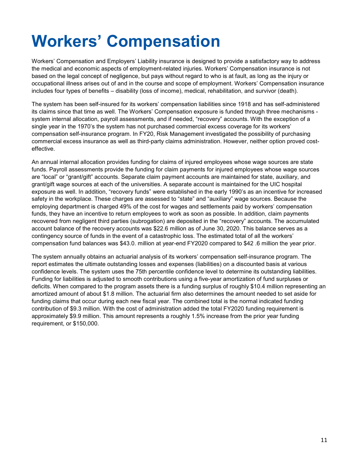## <span id="page-10-0"></span>**Workers' Compensation**

Workers' Compensation and Employers' Liability insurance is designed to provide a satisfactory way to address the medical and economic aspects of employment-related injuries. Workers' Compensation insurance is not based on the legal concept of negligence, but pays without regard to who is at fault, as long as the injury or occupational illness arises out of and in the course and scope of employment. Workers' Compensation insurance includes four types of benefits – disability (loss of income), medical, rehabilitation, and survivor (death).

The system has been self-insured for its workers' compensation liabilities since 1918 and has self-administered its claims since that time as well. The Workers' Compensation exposure is funded through three mechanisms system internal allocation, payroll assessments, and if needed, "recovery" accounts. With the exception of a single year in the 1970's the system has not purchased commercial excess coverage for its workers' compensation self-insurance program. In FY20, Risk Management investigated the possibility of purchasing commercial excess insurance as well as third-party claims administration. However, neither option proved costeffective.

An annual internal allocation provides funding for claims of injured employees whose wage sources are state funds. Payroll assessments provide the funding for claim payments for injured employees whose wage sources are "local" or "grant/gift" accounts. Separate claim payment accounts are maintained for state, auxiliary, and grant/gift wage sources at each of the universities. A separate account is maintained for the UIC hospital exposure as well. In addition, "recovery funds" were established in the early 1990's as an incentive for increased safety in the workplace. These charges are assessed to "state" and "auxiliary" wage sources. Because the employing department is charged 49% of the cost for wages and settlements paid by workers' compensation funds, they have an incentive to return employees to work as soon as possible. In addition, claim payments recovered from negligent third parties (subrogation) are deposited in the "recovery" accounts. The accumulated account balance of the recovery accounts was \$22.6 million as of June 30, 2020. This balance serves as a contingency source of funds in the event of a catastrophic loss. The estimated total of all the workers' compensation fund balances was \$43.0. million at year-end FY2020 compared to \$42 .6 million the year prior.

The system annually obtains an actuarial analysis of its workers' compensation self-insurance program. The report estimates the ultimate outstanding losses and expenses (liabilities) on a discounted basis at various confidence levels. The system uses the 75th percentile confidence level to determine its outstanding liabilities. Funding for liabilities is adjusted to smooth contributions using a five-year amortization of fund surpluses or deficits. When compared to the program assets there is a funding surplus of roughly \$10.4 million representing an amortized amount of about \$1.8 million. The actuarial firm also determines the amount needed to set aside for funding claims that occur during each new fiscal year. The combined total is the normal indicated funding contribution of \$9.3 million. With the cost of administration added the total FY2020 funding requirement is approximately \$9.9 million. This amount represents a roughly 1.5% increase from the prior year funding requirement, or \$150,000.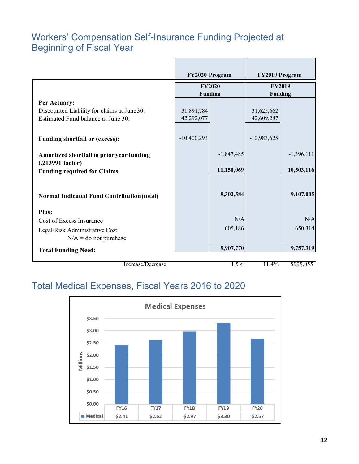#### Workers' Compensation Self-Insurance Funding Projected at Beginning of Fiscal Year

|                                                                                                       | FY2020 Program                  |                            | FY2019 Program                  |                            |
|-------------------------------------------------------------------------------------------------------|---------------------------------|----------------------------|---------------------------------|----------------------------|
|                                                                                                       | <b>FY2020</b><br><b>Funding</b> |                            | <b>FY2019</b><br><b>Funding</b> |                            |
| Per Actuary:<br>Discounted Liability for claims at June 30:<br>Estimated Fund balance at June 30:     | 31,891,784<br>42,292,077        |                            | 31,625,662<br>42,609,287        |                            |
| <b>Funding shortfall or (excess):</b>                                                                 | $-10,400,293$                   |                            | $-10,983,625$                   |                            |
| Amortized shortfall in prior year funding<br>$(.213991$ factor)<br><b>Funding required for Claims</b> |                                 | $-1,847,485$<br>11,150,069 |                                 | $-1,396,111$<br>10,503,116 |
| <b>Normal Indicated Fund Contribution (total)</b>                                                     |                                 | 9,302,584                  |                                 | 9,107,005                  |
|                                                                                                       |                                 |                            |                                 |                            |
| <b>Plus:</b><br>Cost of Excess Insurance<br>Legal/Risk Administrative Cost                            |                                 | N/A<br>605,186             |                                 | N/A<br>650,314             |
| $N/A =$ do not purchase<br><b>Total Funding Need:</b>                                                 |                                 | 9,907,770                  |                                 | 9,757,319                  |

Increase/Decrease: 1.5% 11.4% \$999,055

#### Total Medical Expenses, Fiscal Years 2016 to 2020

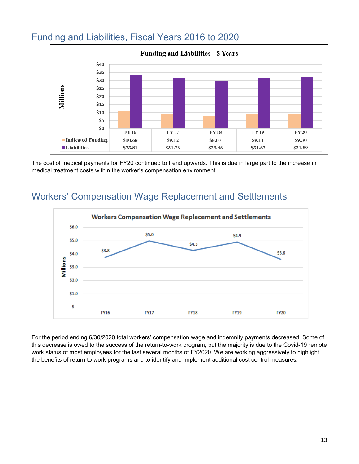

#### Funding and Liabilities, Fiscal Years 2016 to 2020

The cost of medical payments for FY20 continued to trend upwards. This is due in large part to the increase in medical treatment costs within the worker's compensation environment.

#### Workers' Compensation Wage Replacement and Settlements



For the period ending 6/30/2020 total workers' compensation wage and indemnity payments decreased. Some of this decrease is owed to the success of the return-to-work program, but the majority is due to the Covid-19 remote work status of most employees for the last several months of FY2020. We are working aggressively to highlight the benefits of return to work programs and to identify and implement additional cost control measures.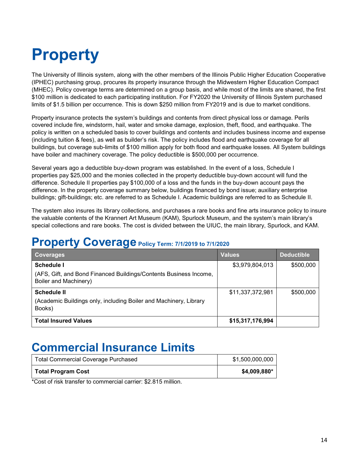## <span id="page-13-0"></span>**Property**

The University of Illinois system, along with the other members of the Illinois Public Higher Education Cooperative (IPHEC) purchasing group, procures its property insurance through the Midwestern Higher Education Compact (MHEC). Policy coverage terms are determined on a group basis, and while most of the limits are shared, the first \$100 million is dedicated to each participating institution. For FY2020 the University of Illinois System purchased limits of \$1.5 billion per occurrence. This is down \$250 million from FY2019 and is due to market conditions.

Property insurance protects the system's buildings and contents from direct physical loss or damage. Perils covered include fire, windstorm, hail, water and smoke damage, explosion, theft, flood, and earthquake. The policy is written on a scheduled basis to cover buildings and contents and includes business income and expense (including tuition & fees), as well as builder's risk. The policy includes flood and earthquake coverage for all buildings, but coverage sub-limits of \$100 million apply for both flood and earthquake losses. All System buildings have boiler and machinery coverage. The policy deductible is \$500,000 per occurrence.

Several years ago a deductible buy-down program was established. In the event of a loss, Schedule I properties pay \$25,000 and the monies collected in the property deductible buy-down account will fund the difference. Schedule II properties pay \$100,000 of a loss and the funds in the buy-down account pays the difference. In the property coverage summary below, buildings financed by bond issue; auxiliary enterprise buildings; gift-buildings; etc. are referred to as Schedule I. Academic buildings are referred to as Schedule II.

The system also insures its library collections, and purchases a rare books and fine arts insurance policy to insure the valuable contents of the Krannert Art Museum (KAM), Spurlock Museum, and the system's main library's special collections and rare books. The cost is divided between the UIUC, the main library, Spurlock, and KAM.

#### **Property Coverage Policy Term: 7/1/2019 to 7/1/2020**

| <b>Coverages</b>                                                                                                | <b>Values</b>    | <b>Deductible</b> |
|-----------------------------------------------------------------------------------------------------------------|------------------|-------------------|
| <b>Schedule I</b><br>(AFS, Gift, and Bond Financed Buildings/Contents Business Income,<br>Boiler and Machinery) | \$3,979,804,013  | \$500,000         |
| <b>Schedule II</b><br>(Academic Buildings only, including Boiler and Machinery, Library<br>Books)               | \$11,337,372,981 | \$500,000         |
| <b>Total Insured Values</b>                                                                                     | \$15,317,176,994 |                   |

#### **Commercial Insurance Limits**

| <b>Total Commercial Coverage Purchased</b> | \$1,500,000,000 |
|--------------------------------------------|-----------------|
| <b>Total Program Cost</b>                  | \$4,009,880*    |

<span id="page-13-1"></span>\*Cost of risk transfer to commercial carrier: \$2.815 million.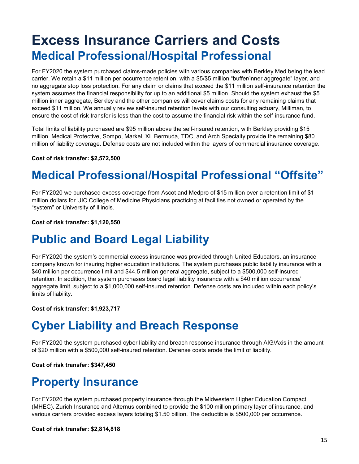### <span id="page-14-0"></span>**Excess Insurance Carriers and Costs Medical Professional/Hospital Professional**

For FY2020 the system purchased claims-made policies with various companies with Berkley Med being the lead carrier. We retain a \$11 million per occurrence retention, with a \$5/\$5 million "buffer/inner aggregate" layer, and no aggregate stop loss protection. For any claim or claims that exceed the \$11 million self-insurance retention the system assumes the financial responsibility for up to an additional \$5 million. Should the system exhaust the \$5 million inner aggregate, Berkley and the other companies will cover claims costs for any remaining claims that exceed \$11 million. We annually review self-insured retention levels with our consulting actuary, Milliman, to ensure the cost of risk transfer is less than the cost to assume the financial risk within the self-insurance fund.

Total limits of liability purchased are \$95 million above the self-insured retention, with Berkley providing \$15 million. Medical Protective, Sompo, Markel, XL Bermuda, TDC, and Arch Specialty provide the remaining \$80 million of liability coverage. Defense costs are not included within the layers of commercial insurance coverage.

<span id="page-14-1"></span>**Cost of risk transfer: \$2,572,500**

#### **Medical Professional/Hospital Professional "Offsite"**

<span id="page-14-2"></span>For FY2020 we purchased excess coverage from Ascot and Medpro of \$15 million over a retention limit of \$1 million dollars for UIC College of Medicine Physicians practicing at facilities not owned or operated by the "system" or University of Illinois.

**Cost of risk transfer: \$1,120,550**

#### **Public and Board Legal Liability**

<span id="page-14-3"></span>For FY2020 the system's commercial excess insurance was provided through United Educators, an insurance company known for insuring higher education institutions. The system purchases public liability insurance with a \$40 million per occurrence limit and \$44.5 million general aggregate, subject to a \$500,000 self-insured retention. In addition, the system purchases board legal liability insurance with a \$40 million occurrence/ aggregate limit, subject to a \$1,000,000 self-insured retention. Defense costs are included within each policy's limits of liability.

**Cost of risk transfer: \$1,923,717**

#### <span id="page-14-4"></span>**Cyber Liability and Breach Response**

For FY2020 the system purchased cyber liability and breach response insurance through AIG/Axis in the amount of \$20 million with a \$500,000 self-insured retention. Defense costs erode the limit of liability.

**Cost of risk transfer: \$347,450**

#### **Property Insurance**

For FY2020 the system purchased property insurance through the Midwestern Higher Education Compact (MHEC). Zurich Insurance and Alternus combined to provide the \$100 million primary layer of insurance, and various carriers provided excess layers totaling \$1.50 billion. The deductible is \$500,000 per occurrence.

**Cost of risk transfer: \$2,814,818**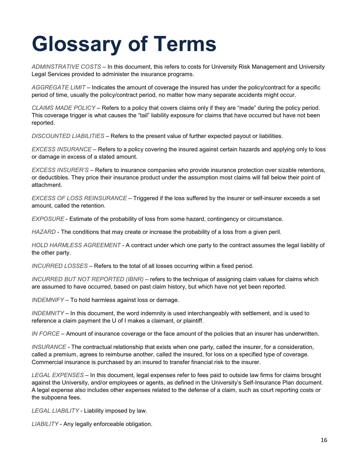## <span id="page-15-0"></span>**Glossary of Terms**

*ADMINSTRATIVE COSTS* – In this document, this refers to costs for University Risk Management and University Legal Services provided to administer the insurance programs.

*AGGREGATE LIMIT* – Indicates the amount of coverage the insured has under the policy/contract for a specific period of time, usually the policy/contract period, no matter how many separate accidents might occur.

*CLAIMS MADE POLICY* – Refers to a policy that covers claims only if they are "made" during the policy period. This coverage trigger is what causes the "tail" liability exposure for claims that have occurred but have not been reported.

*DISCOUNTED LIABILITIES* – Refers to the present value of further expected payout or liabilities.

*EXCESS INSURANCE* – Refers to a policy covering the insured against certain hazards and applying only to loss or damage in excess of a stated amount.

*EXCESS INSURER'S* – Refers to insurance companies who provide insurance protection over sizable retentions, or deductibles. They price their insurance product under the assumption most claims will fall below their point of attachment.

*EXCESS OF LOSS REINSURANCE* – Triggered if the loss suffered by the insurer or self-insurer exceeds a set amount, called the retention.

*EXPOSURE* - Estimate of the probability of loss from some hazard, contingency or circumstance.

*HAZARD* - The conditions that may create or increase the probability of a loss from a given peril.

*HOLD HARMLESS AGREEMENT* - A contract under which one party to the contract assumes the legal liability of the other party.

*INCURRED LOSSES* – Refers to the total of all losses occurring within a fixed period.

*INCURRED BUT NOT REPORTED (IBNR)* – refers to the technique of assigning claim values for claims which are assumed to have occurred, based on past claim history, but which have not yet been reported.

*INDEMNIFY* – To hold harmless against loss or damage.

*INDEMNITY* – In this document, the word indemnity is used interchangeably with settlement, and is used to reference a claim payment the U of I makes a claimant, or plaintiff.

*IN FORCE* – Amount of insurance coverage or the face amount of the policies that an insurer has underwritten.

*INSURANCE* - The contractual relationship that exists when one party, called the insurer, for a consideration, called a premium, agrees to reimburse another, called the insured, for loss on a specified type of coverage. Commercial insurance is purchased by an insured to transfer financial risk to the insurer.

*LEGAL EXPENSES* – In this document, legal expenses refer to fees paid to outside law firms for claims brought against the University, and/or employees or agents, as defined in the University's Self-Insurance Plan document. A legal expense also includes other expenses related to the defense of a claim, such as court reporting costs or the subpoena fees.

*LEGAL LIABILITY* - Liability imposed by law.

*LIABILITY* - Any legally enforceable obligation.